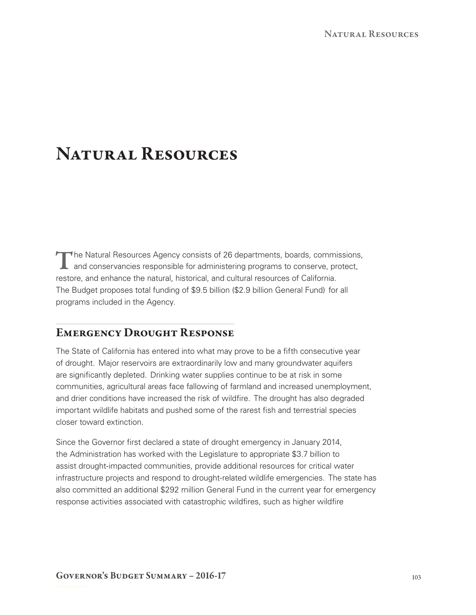# Natural Resources

The Natural Resources Agency consists of 26 departments, boards, commissions, and conservancies responsible for administering programs to conserve, protect, restore, and enhance the natural, historical, and cultural resources of California. The Budget proposes total funding of \$9.5 billion (\$2.9 billion General Fund) for all programs included in the Agency.

## Emergency Drought Response

The State of California has entered into what may prove to be a fifth consecutive year of drought. Major reservoirs are extraordinarily low and many groundwater aquifers are significantly depleted. Drinking water supplies continue to be at risk in some communities, agricultural areas face fallowing of farmland and increased unemployment, and drier conditions have increased the risk of wildfire. The drought has also degraded important wildlife habitats and pushed some of the rarest fish and terrestrial species closer toward extinction.

Since the Governor first declared a state of drought emergency in January 2014, the Administration has worked with the Legislature to appropriate \$3.7 billion to assist drought‑impacted communities, provide additional resources for critical water infrastructure projects and respond to drought-related wildlife emergencies. The state has also committed an additional \$292 million General Fund in the current year for emergency response activities associated with catastrophic wildfires, such as higher wildfire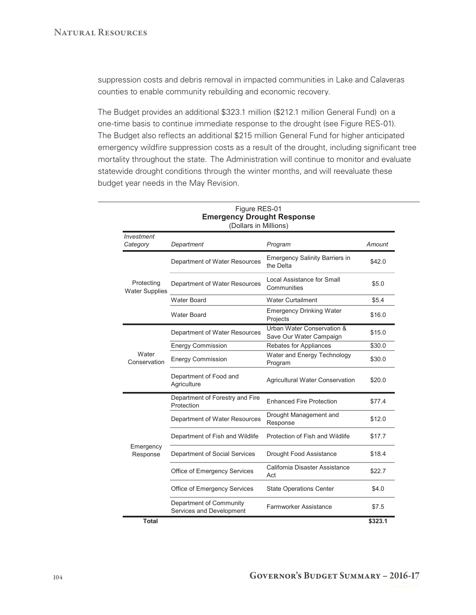suppression costs and debris removal in impacted communities in Lake and Calaveras counties to enable community rebuilding and economic recovery.

The Budget provides an additional \$323.1 million (\$212.1 million General Fund) on a one-time basis to continue immediate response to the drought (see Figure RES-01). The Budget also reflects an additional \$215 million General Fund for higher anticipated emergency wildfire suppression costs as a result of the drought, including significant tree mortality throughout the state. The Administration will continue to monitor and evaluate statewide drought conditions through the winter months, and will reevaluate these budget year needs in the May Revision.

| <b>Emergency Drought Response</b><br>(Dollars in Millions) |                                                     |                                                       |         |
|------------------------------------------------------------|-----------------------------------------------------|-------------------------------------------------------|---------|
| Investment<br>Category                                     | Department                                          | Program                                               | Amount  |
| Protecting<br><b>Water Supplies</b>                        | Department of Water Resources                       | <b>Emergency Salinity Barriers in</b><br>the Delta    | \$42.0  |
|                                                            | Department of Water Resources                       | Local Assistance for Small<br>Communities             | \$5.0   |
|                                                            | Water Board                                         | <b>Water Curtailment</b>                              | \$5.4   |
|                                                            | <b>Water Board</b>                                  | <b>Emergency Drinking Water</b><br>Projects           | \$16.0  |
| Water<br>Conservation                                      | Department of Water Resources                       | Urban Water Conservation &<br>Save Our Water Campaign | \$15.0  |
|                                                            | <b>Energy Commission</b>                            | Rebates for Appliances                                | \$30.0  |
|                                                            | <b>Energy Commission</b>                            | Water and Energy Technology<br>Program                | \$30.0  |
|                                                            | Department of Food and<br>Agriculture               | <b>Agricultural Water Conservation</b>                | \$20.0  |
| Emergency<br>Response                                      | Department of Forestry and Fire<br>Protection       | <b>Enhanced Fire Protection</b>                       | \$77.4  |
|                                                            | Department of Water Resources                       | Drought Management and<br>Response                    | \$12.0  |
|                                                            | Department of Fish and Wildlife                     | Protection of Fish and Wildlife                       | \$17.7  |
|                                                            | Department of Social Services                       | Drought Food Assistance                               | \$18.4  |
|                                                            | Office of Emergency Services                        | California Disaster Assistance<br>Act                 | \$22.7  |
|                                                            | Office of Emergency Services                        | <b>State Operations Center</b>                        | \$4.0   |
|                                                            | Department of Community<br>Services and Development | Farmworker Assistance                                 | \$7.5   |
| <b>Total</b>                                               |                                                     |                                                       | \$323.1 |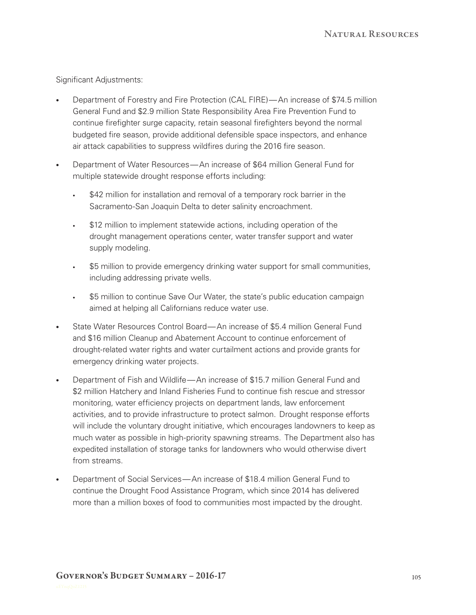Significant Adjustments:

- Department of Forestry and Fire Protection (CAL FIRE)— An increase of \$74.5 million General Fund and \$2.9 million State Responsibility Area Fire Prevention Fund to continue firefighter surge capacity, retain seasonal firefighters beyond the normal budgeted fire season, provide additional defensible space inspectors, and enhance air attack capabilities to suppress wildfires during the 2016 fire season.
- Department of Water Resources— An increase of \$64 million General Fund for multiple statewide drought response efforts including:
	- \$42 million for installation and removal of a temporary rock barrier in the Sacramento-San Joaquin Delta to deter salinity encroachment.
	- \$12 million to implement statewide actions, including operation of the drought management operations center, water transfer support and water supply modeling.
	- \$5 million to provide emergency drinking water support for small communities, including addressing private wells.
	- \$5 million to continue Save Our Water, the state's public education campaign aimed at helping all Californians reduce water use.
- State Water Resources Control Board— An increase of \$5.4 million General Fund and \$16 million Cleanup and Abatement Account to continue enforcement of drought-related water rights and water curtailment actions and provide grants for emergency drinking water projects.
- Department of Fish and Wildlife—An increase of \$15.7 million General Fund and \$2 million Hatchery and Inland Fisheries Fund to continue fish rescue and stressor monitoring, water efficiency projects on department lands, law enforcement activities, and to provide infrastructure to protect salmon. Drought response efforts will include the voluntary drought initiative, which encourages landowners to keep as much water as possible in high-priority spawning streams. The Department also has expedited installation of storage tanks for landowners who would otherwise divert from streams.
- Department of Social Services—An increase of \$18.4 million General Fund to continue the Drought Food Assistance Program, which since 2014 has delivered more than a million boxes of food to communities most impacted by the drought.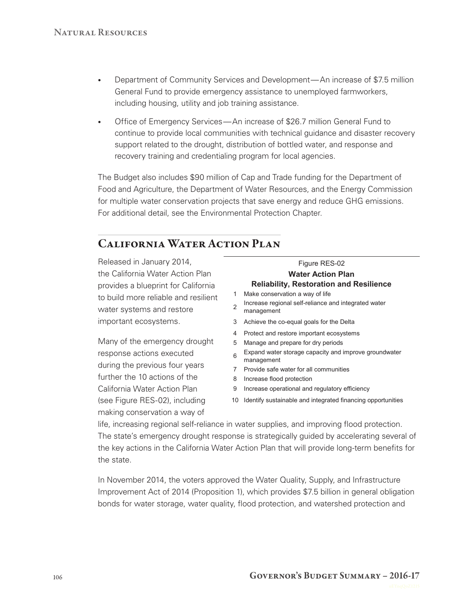- Department of Community Services and Development— An increase of \$7.5 million General Fund to provide emergency assistance to unemployed farmworkers, including housing, utility and job training assistance.
- Office of Emergency Services—An increase of \$26.7 million General Fund to continue to provide local communities with technical guidance and disaster recovery support related to the drought, distribution of bottled water, and response and recovery training and credentialing program for local agencies.

The Budget also includes \$90 million of Cap and Trade funding for the Department of Food and Agriculture, the Department of Water Resources, and the Energy Commission for multiple water conservation projects that save energy and reduce GHG emissions. For additional detail, see the Environmental Protection Chapter.

# California Water Action Plan

Released in January 2014, the California Water Action Plan provides a blueprint for California to build more reliable and resilient water systems and restore important ecosystems.

Many of the emergency drought response actions executed during the previous four years further the 10 actions of the California Water Action Plan (see Figure RES‑02), including making conservation a way of

Figure RES-02 **Water Action Plan Reliability, Restoration and Resilience** Make conservation a way of life Increase regional self-reliance and integrated water management Achieve the co-equal goals for the Delta Protect and restore important ecosystems Manage and prepare for dry periods Expand water storage capacity and improve groundwater management Provide safe water for all communities Increase flood protection Increase operational and regulatory efficiency Identify sustainable and integrated financing opportunities

life, increasing regional self‑reliance in water supplies, and improving flood protection. The state's emergency drought response is strategically guided by accelerating several of the key actions in the California Water Action Plan that will provide long-term benefits for the state.

In November 2014, the voters approved the Water Quality, Supply, and Infrastructure Improvement Act of 2014 (Proposition 1), which provides \$7.5 billion in general obligation bonds for water storage, water quality, flood protection, and watershed protection and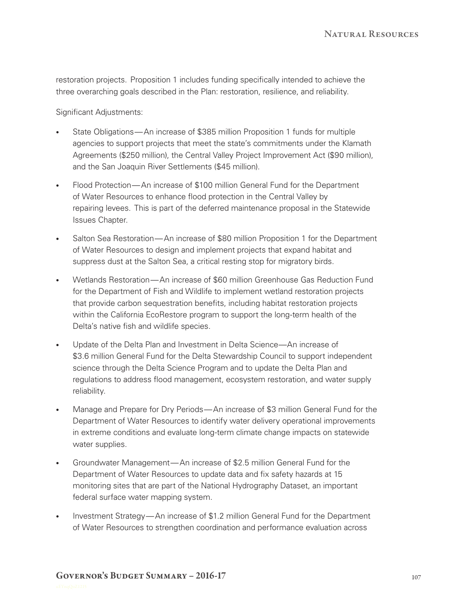restoration projects. Proposition 1 includes funding specifically intended to achieve the three overarching goals described in the Plan: restoration, resilience, and reliability.

Significant Adjustments:

- State Obligations—An increase of \$385 million Proposition 1 funds for multiple agencies to support projects that meet the state's commitments under the Klamath Agreements (\$250 million), the Central Valley Project Improvement Act (\$90 million), and the San Joaquin River Settlements (\$45 million).
- Flood Protection— An increase of \$100 million General Fund for the Department of Water Resources to enhance flood protection in the Central Valley by repairing levees. This is part of the deferred maintenance proposal in the Statewide Issues Chapter.
- Salton Sea Restoration— An increase of \$80 million Proposition 1 for the Department of Water Resources to design and implement projects that expand habitat and suppress dust at the Salton Sea, a critical resting stop for migratory birds.
- Wetlands Restoration— An increase of \$60 million Greenhouse Gas Reduction Fund for the Department of Fish and Wildlife to implement wetland restoration projects that provide carbon sequestration benefits, including habitat restoration projects within the California EcoRestore program to support the long-term health of the Delta's native fish and wildlife species.
- Update of the Delta Plan and Investment in Delta Science—An increase of \$3.6 million General Fund for the Delta Stewardship Council to support independent science through the Delta Science Program and to update the Delta Plan and regulations to address flood management, ecosystem restoration, and water supply reliability.
- Manage and Prepare for Dry Periods—An increase of \$3 million General Fund for the Department of Water Resources to identify water delivery operational improvements in extreme conditions and evaluate long-term climate change impacts on statewide water supplies.
- Groundwater Management— An increase of \$2.5 million General Fund for the Department of Water Resources to update data and fix safety hazards at 15 monitoring sites that are part of the National Hydrography Dataset, an important federal surface water mapping system.
- Investment Strategy—An increase of \$1.2 million General Fund for the Department of Water Resources to strengthen coordination and performance evaluation across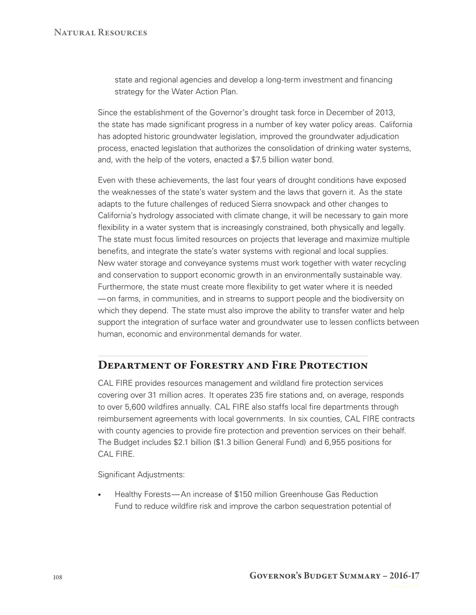state and regional agencies and develop a long‑term investment and financing strategy for the Water Action Plan.

Since the establishment of the Governor's drought task force in December of 2013, the state has made significant progress in a number of key water policy areas. California has adopted historic groundwater legislation, improved the groundwater adjudication process, enacted legislation that authorizes the consolidation of drinking water systems, and, with the help of the voters, enacted a \$7.5 billion water bond.

Even with these achievements, the last four years of drought conditions have exposed the weaknesses of the state's water system and the laws that govern it. As the state adapts to the future challenges of reduced Sierra snowpack and other changes to California's hydrology associated with climate change, it will be necessary to gain more flexibility in a water system that is increasingly constrained, both physically and legally. The state must focus limited resources on projects that leverage and maximize multiple benefits, and integrate the state's water systems with regional and local supplies. New water storage and conveyance systems must work together with water recycling and conservation to support economic growth in an environmentally sustainable way. Furthermore, the state must create more flexibility to get water where it is needed — on farms, in communities, and in streams to support people and the biodiversity on which they depend. The state must also improve the ability to transfer water and help support the integration of surface water and groundwater use to lessen conflicts between human, economic and environmental demands for water.

## Department of Forestry and Fire Protection

CAL FIRE provides resources management and wildland fire protection services covering over 31 million acres. It operates 235 fire stations and, on average, responds to over 5,600 wildfires annually. CAL FIRE also staffs local fire departments through reimbursement agreements with local governments. In six counties, CAL FIRE contracts with county agencies to provide fire protection and prevention services on their behalf. The Budget includes \$2.1 billion (\$1.3 billion General Fund) and 6,955 positions for CAL FIRE.

Significant Adjustments:

Healthy Forests—An increase of \$150 million Greenhouse Gas Reduction Fund to reduce wildfire risk and improve the carbon sequestration potential of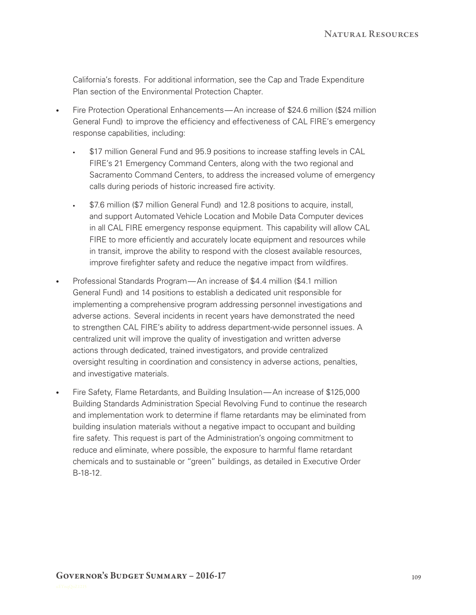California's forests. For additional information, see the Cap and Trade Expenditure Plan section of the Environmental Protection Chapter.

- Fire Protection Operational Enhancements— An increase of \$24.6 million (\$24 million General Fund) to improve the efficiency and effectiveness of CAL FIRE's emergency response capabilities, including:
	- \$17 million General Fund and 95.9 positions to increase staffing levels in CAL FIRE's 21 Emergency Command Centers, along with the two regional and Sacramento Command Centers, to address the increased volume of emergency calls during periods of historic increased fire activity.
	- \$7.6 million (\$7 million General Fund) and 12.8 positions to acquire, install, and support Automated Vehicle Location and Mobile Data Computer devices in all CAL FIRE emergency response equipment. This capability will allow CAL FIRE to more efficiently and accurately locate equipment and resources while in transit, improve the ability to respond with the closest available resources, improve firefighter safety and reduce the negative impact from wildfires.
- Professional Standards Program— An increase of \$4.4 million (\$4.1 million General Fund) and 14 positions to establish a dedicated unit responsible for implementing a comprehensive program addressing personnel investigations and adverse actions. Several incidents in recent years have demonstrated the need to strengthen CAL FIRE's ability to address department‑wide personnel issues. A centralized unit will improve the quality of investigation and written adverse actions through dedicated, trained investigators, and provide centralized oversight resulting in coordination and consistency in adverse actions, penalties, and investigative materials.
- Fire Safety, Flame Retardants, and Building Insulation—An increase of \$125,000 Building Standards Administration Special Revolving Fund to continue the research and implementation work to determine if flame retardants may be eliminated from building insulation materials without a negative impact to occupant and building fire safety. This request is part of the Administration's ongoing commitment to reduce and eliminate, where possible, the exposure to harmful flame retardant chemicals and to sustainable or "green" buildings, as detailed in Executive Order B‑18‑12.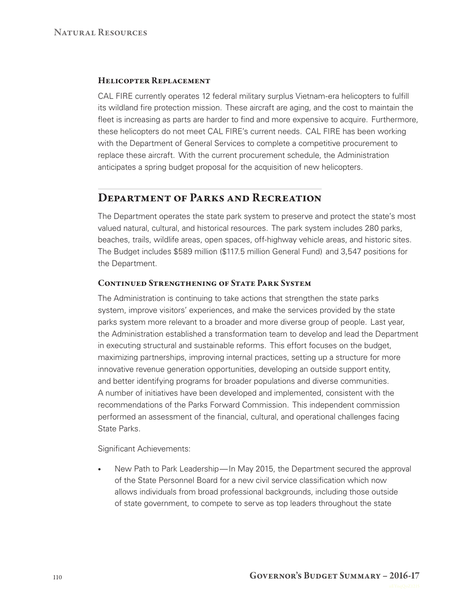#### Helicopter Replacement

CAL FIRE currently operates 12 federal military surplus Vietnam‑era helicopters to fulfill its wildland fire protection mission. These aircraft are aging, and the cost to maintain the fleet is increasing as parts are harder to find and more expensive to acquire. Furthermore, these helicopters do not meet CAL FIRE's current needs. CAL FIRE has been working with the Department of General Services to complete a competitive procurement to replace these aircraft. With the current procurement schedule, the Administration anticipates a spring budget proposal for the acquisition of new helicopters.

## Department of Parks and Recreation

The Department operates the state park system to preserve and protect the state's most valued natural, cultural, and historical resources. The park system includes 280 parks, beaches, trails, wildlife areas, open spaces, off‑highway vehicle areas, and historic sites. The Budget includes \$589 million (\$117.5 million General Fund) and 3,547 positions for the Department.

#### Continued Strengthening of State Park System

The Administration is continuing to take actions that strengthen the state parks system, improve visitors' experiences, and make the services provided by the state parks system more relevant to a broader and more diverse group of people. Last year, the Administration established a transformation team to develop and lead the Department in executing structural and sustainable reforms. This effort focuses on the budget, maximizing partnerships, improving internal practices, setting up a structure for more innovative revenue generation opportunities, developing an outside support entity, and better identifying programs for broader populations and diverse communities. A number of initiatives have been developed and implemented, consistent with the recommendations of the Parks Forward Commission. This independent commission performed an assessment of the financial, cultural, and operational challenges facing State Parks.

Significant Achievements:

New Path to Park Leadership— In May 2015, the Department secured the approval of the State Personnel Board for a new civil service classification which now allows individuals from broad professional backgrounds, including those outside of state government, to compete to serve as top leaders throughout the state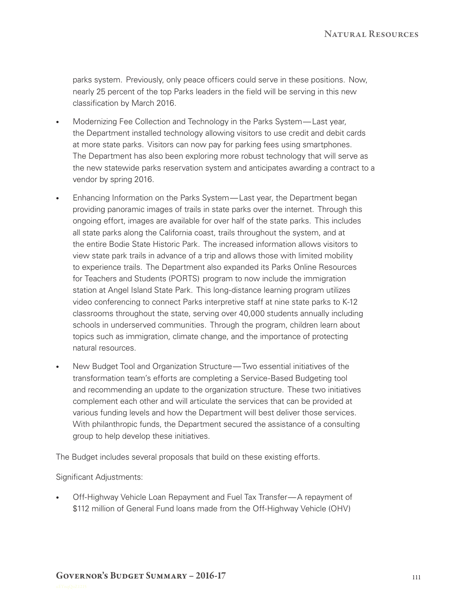parks system. Previously, only peace officers could serve in these positions. Now, nearly 25 percent of the top Parks leaders in the field will be serving in this new classification by March 2016.

- Modernizing Fee Collection and Technology in the Parks System— Last year, the Department installed technology allowing visitors to use credit and debit cards at more state parks. Visitors can now pay for parking fees using smartphones. The Department has also been exploring more robust technology that will serve as the new statewide parks reservation system and anticipates awarding a contract to a vendor by spring 2016.
- Enhancing Information on the Parks System— Last year, the Department began providing panoramic images of trails in state parks over the internet. Through this ongoing effort, images are available for over half of the state parks. This includes all state parks along the California coast, trails throughout the system, and at the entire Bodie State Historic Park. The increased information allows visitors to view state park trails in advance of a trip and allows those with limited mobility to experience trails. The Department also expanded its Parks Online Resources for Teachers and Students (PORTS) program to now include the immigration station at Angel Island State Park. This long-distance learning program utilizes video conferencing to connect Parks interpretive staff at nine state parks to K‑12 classrooms throughout the state, serving over 40,000 students annually including schools in underserved communities. Through the program, children learn about topics such as immigration, climate change, and the importance of protecting natural resources.
- New Budget Tool and Organization Structure— Two essential initiatives of the transformation team's efforts are completing a Service‑Based Budgeting tool and recommending an update to the organization structure. These two initiatives complement each other and will articulate the services that can be provided at various funding levels and how the Department will best deliver those services. With philanthropic funds, the Department secured the assistance of a consulting group to help develop these initiatives.

The Budget includes several proposals that build on these existing efforts.

Significant Adjustments:

Off-Highway Vehicle Loan Repayment and Fuel Tax Transfer—A repayment of \$112 million of General Fund loans made from the Off-Highway Vehicle (OHV)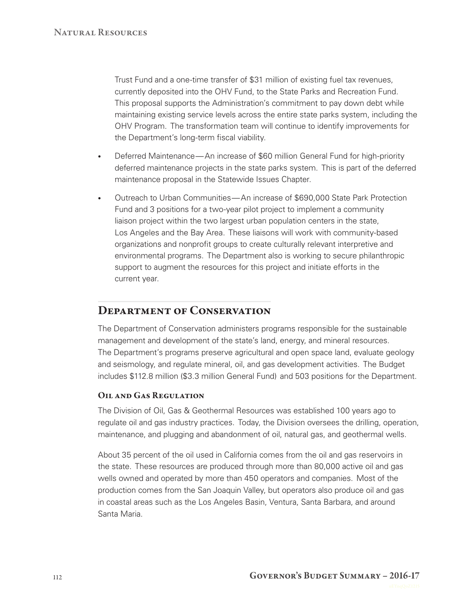Trust Fund and a one‑time transfer of \$31 million of existing fuel tax revenues, currently deposited into the OHV Fund, to the State Parks and Recreation Fund. This proposal supports the Administration's commitment to pay down debt while maintaining existing service levels across the entire state parks system, including the OHV Program. The transformation team will continue to identify improvements for the Department's long-term fiscal viability.

- Deferred Maintenance— An increase of \$60 million General Fund for high-priority deferred maintenance projects in the state parks system. This is part of the deferred maintenance proposal in the Statewide Issues Chapter.
- Outreach to Urban Communities—An increase of \$690,000 State Park Protection Fund and 3 positions for a two-year pilot project to implement a community liaison project within the two largest urban population centers in the state, Los Angeles and the Bay Area. These liaisons will work with community-based organizations and nonprofit groups to create culturally relevant interpretive and environmental programs. The Department also is working to secure philanthropic support to augment the resources for this project and initiate efforts in the current year.

## DEPARTMENT OF CONSERVATION

The Department of Conservation administers programs responsible for the sustainable management and development of the state's land, energy, and mineral resources. The Department's programs preserve agricultural and open space land, evaluate geology and seismology, and regulate mineral, oil, and gas development activities. The Budget includes \$112.8 million (\$3.3 million General Fund) and 503 positions for the Department.

#### Oil and Gas Regulation

The Division of Oil, Gas & Geothermal Resources was established 100 years ago to regulate oil and gas industry practices. Today, the Division oversees the drilling, operation, maintenance, and plugging and abandonment of oil, natural gas, and geothermal wells.

About 35 percent of the oil used in California comes from the oil and gas reservoirs in the state. These resources are produced through more than 80,000 active oil and gas wells owned and operated by more than 450 operators and companies. Most of the production comes from the San Joaquin Valley, but operators also produce oil and gas in coastal areas such as the Los Angeles Basin, Ventura, Santa Barbara, and around Santa Maria.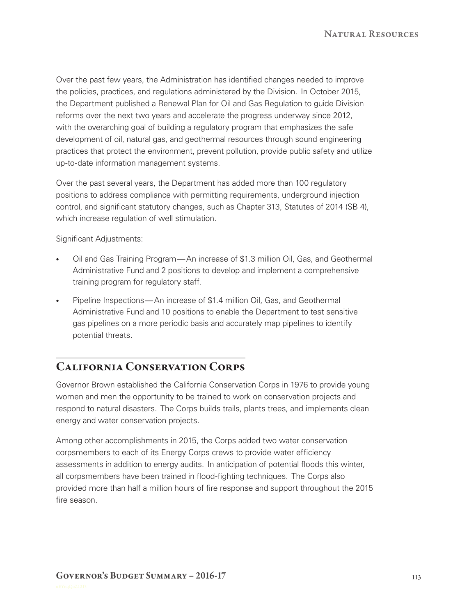Over the past few years, the Administration has identified changes needed to improve the policies, practices, and regulations administered by the Division. In October 2015, the Department published a Renewal Plan for Oil and Gas Regulation to guide Division reforms over the next two years and accelerate the progress underway since 2012, with the overarching goal of building a regulatory program that emphasizes the safe development of oil, natural gas, and geothermal resources through sound engineering practices that protect the environment, prevent pollution, provide public safety and utilize up-to-date information management systems.

Over the past several years, the Department has added more than 100 regulatory positions to address compliance with permitting requirements, underground injection control, and significant statutory changes, such as Chapter 313, Statutes of 2014 (SB 4), which increase regulation of well stimulation.

Significant Adjustments:

- Oil and Gas Training Program— An increase of \$1.3 million Oil, Gas, and Geothermal Administrative Fund and 2 positions to develop and implement a comprehensive training program for regulatory staff.
- Pipeline Inspections—An increase of \$1.4 million Oil, Gas, and Geothermal Administrative Fund and 10 positions to enable the Department to test sensitive gas pipelines on a more periodic basis and accurately map pipelines to identify potential threats.

# California Conservation Corps

Governor Brown established the California Conservation Corps in 1976 to provide young women and men the opportunity to be trained to work on conservation projects and respond to natural disasters. The Corps builds trails, plants trees, and implements clean energy and water conservation projects.

Among other accomplishments in 2015, the Corps added two water conservation corpsmembers to each of its Energy Corps crews to provide water efficiency assessments in addition to energy audits. In anticipation of potential floods this winter, all corpsmembers have been trained in flood‑fighting techniques. The Corps also provided more than half a million hours of fire response and support throughout the 2015 fire season.